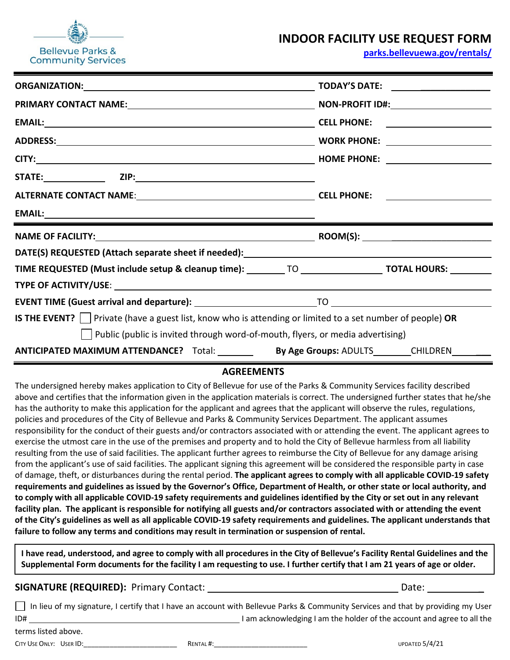

# **INDOOR FACILITY USE REQUEST FORM**

**[parks.bellevuewa.gov/rentals/](https://parks.bellevuewa.gov/rentals/)**

|                                                                                                                        | <u> Alexandria (m. 1888)</u> |  |
|------------------------------------------------------------------------------------------------------------------------|------------------------------|--|
|                                                                                                                        |                              |  |
|                                                                                                                        |                              |  |
|                                                                                                                        |                              |  |
| TIME REQUESTED (Must include setup & cleanup time): _________ TO ___________________ TOTAL HOURS: _________            |                              |  |
| TYPE OF ACTIVITY/USE: New York of ACTIVITY/USE: New York of ACTIVITY/USE: New York of ACTIVITY/USE: New York o         |                              |  |
|                                                                                                                        |                              |  |
| <b>IS THE EVENT?</b> $\Box$ Private (have a guest list, know who is attending or limited to a set number of people) OR |                              |  |
| Public (public is invited through word-of-mouth, flyers, or media advertising)                                         |                              |  |
| ANTICIPATED MAXIMUM ATTENDANCE? Total: _________ By Age Groups: ADULTS________CHILDREN_________                        |                              |  |

## **AGREEMENTS**

The undersigned hereby makes application to City of Bellevue for use of the Parks & Community Services facility described above and certifies that the information given in the application materials is correct. The undersigned further states that he/she has the authority to make this application for the applicant and agrees that the applicant will observe the rules, regulations, policies and procedures of the City of Bellevue and Parks & Community Services Department. The applicant assumes responsibility for the conduct of their guests and/or contractors associated with or attending the event. The applicant agrees to exercise the utmost care in the use of the premises and property and to hold the City of Bellevue harmless from all liability resulting from the use of said facilities. The applicant further agrees to reimburse the City of Bellevue for any damage arising from the applicant's use of said facilities. The applicant signing this agreement will be considered the responsible party in case of damage, theft, or disturbances during the rental period. **The applicant agrees to comply with all applicable COVID-19 safety requirements and guidelines as issued by the Governor's Office, Department of Health, or other state or local authority, and to comply with all applicable COVID-19 safety requirements and guidelines identified by the City or set out in any relevant facility plan. The applicant is responsible for notifying all guests and/or contractors associated with or attending the event of the City's guidelines as well as all applicable COVID-19 safety requirements and guidelines. The applicant understands that failure to follow any terms and conditions may result in termination or suspension of rental.**

**I have read, understood, and agree to comply with all procedures in the City of Bellevue's Facility Rental Guidelines and the Supplemental Form documents for the facility I am requesting to use. I further certify that I am 21 years of age or older.**

### **SIGNATURE (REQUIRED):** Primary Contact: Date: \_

In lieu of my signature, I certify that I have an account with Bellevue Parks & Community Services and that by providing my User ID#  $\frac{1}{2}$  am acknowledging I am the holder of the account and agree to all the

| terms listed above. |
|---------------------|
|---------------------|

CITY USE ONLY: USER ID:\_\_\_\_\_\_\_\_\_\_\_\_\_\_\_\_\_\_\_\_\_\_\_\_\_ RENTAL #:\_\_\_\_\_\_\_\_\_\_\_\_\_\_\_\_\_\_\_\_\_\_\_\_\_ UPDATED 5/4/21